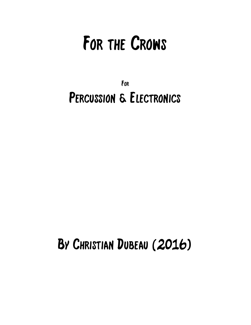# For the Crows

For Percussion & Electronics

### By Christian Dubeau (2016)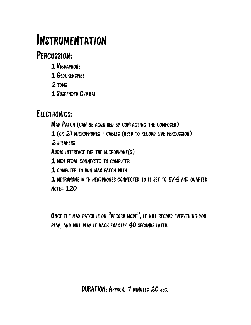## Instrumentation

#### Percussion:

- 1 Vibraphone
- 1 Glockenspiel
- 2 toms
- 1 Suspended Cymbal

#### Electronics:

Max Patch (can be acquired by contacting the composer) 1 (or 2) microphones + cables (used to record live percussion) 2 speakers Audio interface for the microphone(s) 1 midi pedal connected to computer 1 computer to run max patch with 1 metronome with headphones connected to it set to 5/4 and quarter note= 120

ONCE THE MAX PATCH IS ON "RECORD MODE", IT WILL RECORD EVERYTHING YOU play, and will play it back exactly 40 seconds later.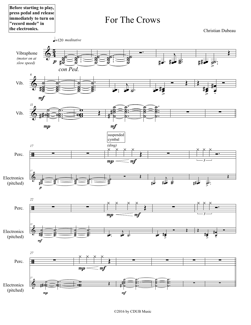#### For The Crows

Christian Dubeau

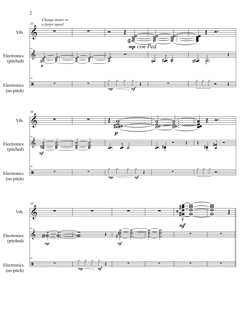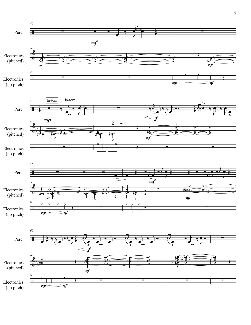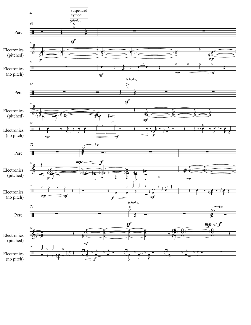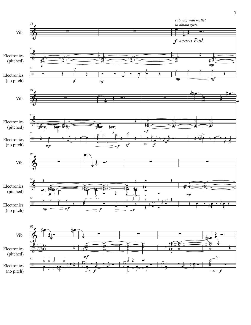

5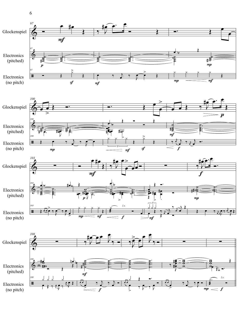







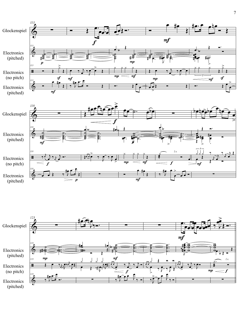

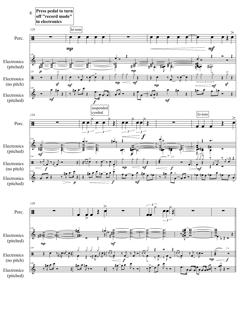



 $\Phi$ 

%<br>1 <u>#ee:2</u>

 $\overline{\phantom{a}}$ 

 $\nabla$ 

 $\overline{y}$   $\overline{z}$ 

 $\gamma$   $\bar{ }$ <u>#e^e e</u> œ  $^{\circ}$ 

f

 $\int$   $\frac{1}{2}$ 

œ. œœ. <sup>œ</sup>

œ œœ.œœœ  $, 7$ œœ ><br>2 Œ Ó.

 $\mathbb{Z}^p$  for  $f$ 

 $\overline{v}$ œ  $\leftrightarrow$ œ  $\frac{6}{7}$ 

#œ. <sup>œ</sup> <sup>J</sup> nœ

*139*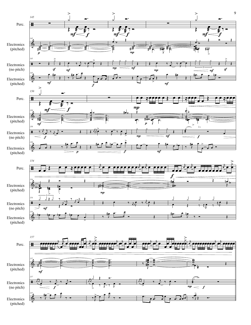